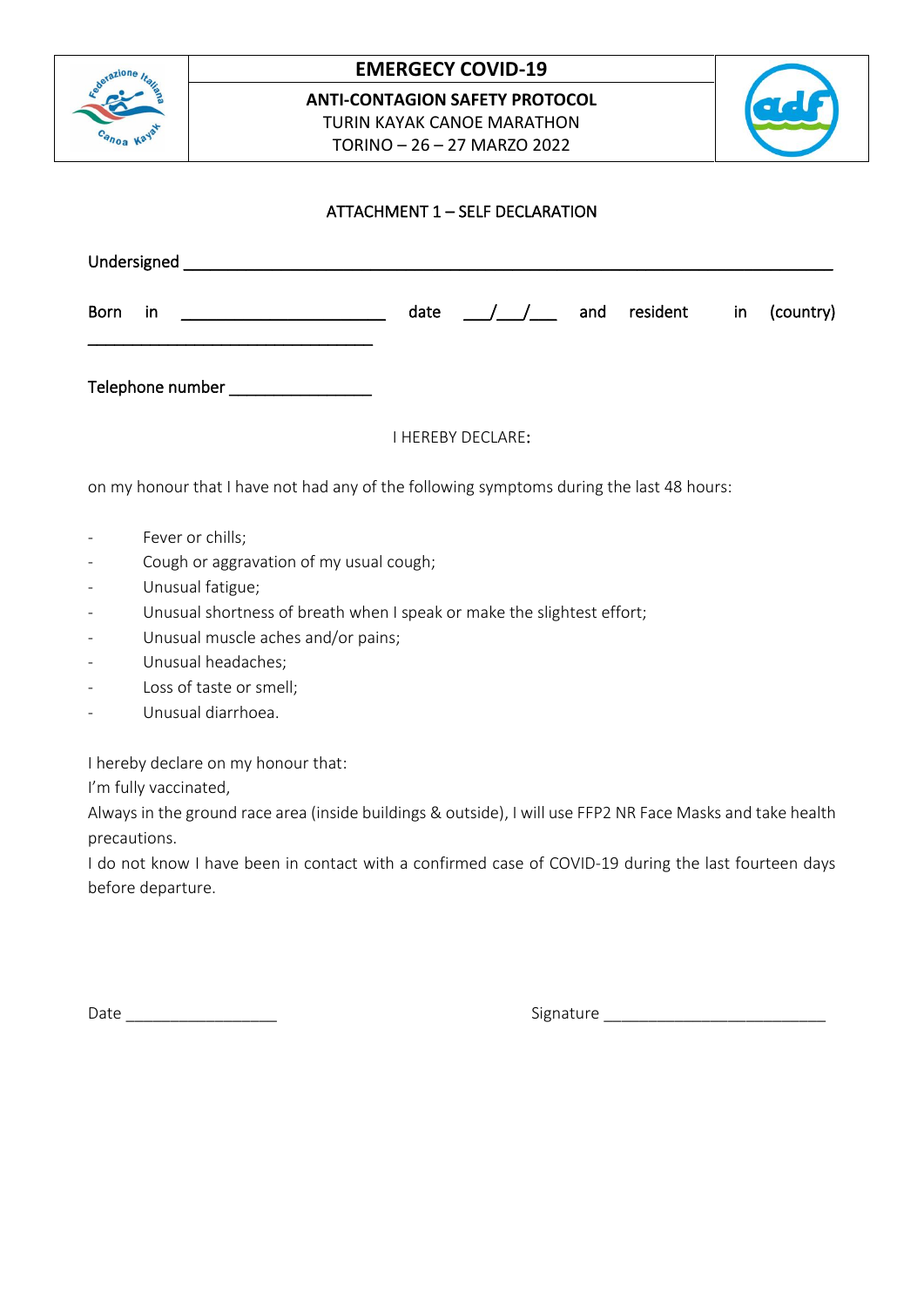

## **EMERGECY COVID-19**

**ANTI-CONTAGION SAFETY PROTOCOL** TURIN KAYAK CANOE MARATHON TORINO – 26 – 27 MARZO 2022



## ATTACHMENT 1 – SELF DECLARATION

| <b>Born</b><br>in                  | date | $\frac{1}{2}$            | and resident | in | (country) |
|------------------------------------|------|--------------------------|--------------|----|-----------|
| Telephone number _________________ |      |                          |              |    |           |
|                                    |      | <b>I HEREBY DECLARE:</b> |              |    |           |

on my honour that I have not had any of the following symptoms during the last 48 hours:

- Fever or chills;
- Cough or aggravation of my usual cough;
- Unusual fatigue;
- Unusual shortness of breath when I speak or make the slightest effort;
- Unusual muscle aches and/or pains;
- Unusual headaches;
- Loss of taste or smell;
- Unusual diarrhoea.

I hereby declare on my honour that:

I'm fully vaccinated,

Always in the ground race area (inside buildings & outside), I will use FFP2 NR Face Masks and take health precautions.

I do not know I have been in contact with a confirmed case of COVID-19 during the last fourteen days before departure.

Date \_\_\_\_\_\_\_\_\_\_\_\_\_\_\_\_\_ Signature \_\_\_\_\_\_\_\_\_\_\_\_\_\_\_\_\_\_\_\_\_\_\_\_\_